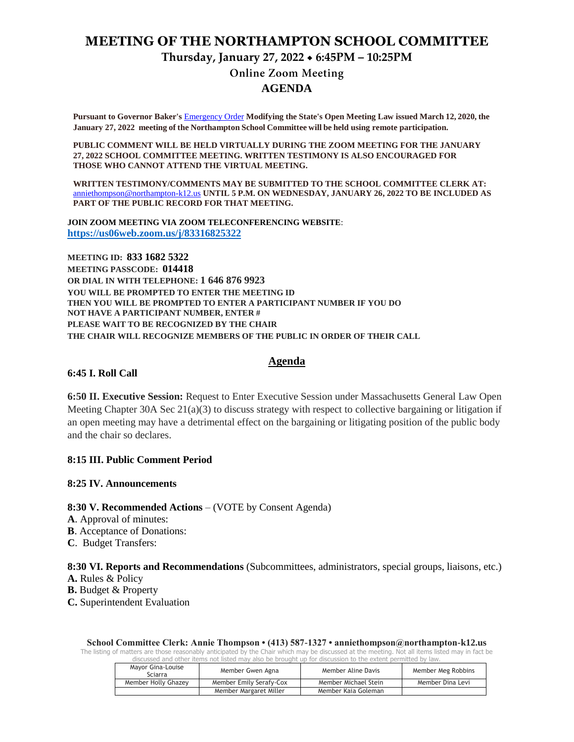# **MEETING OF THE NORTHAMPTON SCHOOL COMMITTEE**

**Thursday, January 27, 2022 6:45PM – 10:25PM**

**Online Zoom Meeting** 

# **AGENDA**

**Pursuant to Governor Baker's** [Emergency Order](about:blank) **Modifying the State's Open Meeting Law issued March 12, 2020, the January 27, 2022 meeting of the Northampton School Committee will be held using remote participation.**

**PUBLIC COMMENT WILL BE HELD VIRTUALLY DURING THE ZOOM MEETING FOR THE JANUARY 27, 2022 SCHOOL COMMITTEE MEETING. WRITTEN TESTIMONY IS ALSO ENCOURAGED FOR THOSE WHO CANNOT ATTEND THE VIRTUAL MEETING.**

**WRITTEN TESTIMONY/COMMENTS MAY BE SUBMITTED TO THE SCHOOL COMMITTEE CLERK AT:** [anniethompson@northampton-k12.us](about:blank) **UNTIL 5 P.M. ON WEDNESDAY, JANUARY 26, 2022 TO BE INCLUDED AS PART OF THE PUBLIC RECORD FOR THAT MEETING.**

**JOIN ZOOM MEETING VIA ZOOM TELECONFERENCING WEBSITE**: **<https://us06web.zoom.us/j/83316825322>**

**MEETING ID: 833 1682 5322 MEETING PASSCODE: 014418 OR DIAL IN WITH TELEPHONE: 1 646 876 9923 YOU WILL BE PROMPTED TO ENTER THE MEETING ID THEN YOU WILL BE PROMPTED TO ENTER A PARTICIPANT NUMBER IF YOU DO NOT HAVE A PARTICIPANT NUMBER, ENTER # PLEASE WAIT TO BE RECOGNIZED BY THE CHAIR THE CHAIR WILL RECOGNIZE MEMBERS OF THE PUBLIC IN ORDER OF THEIR CALL**

#### **Agenda**

#### **6:45 I. Roll Call**

**6:50 II. Executive Session:** Request to Enter Executive Session under Massachusetts General Law Open Meeting Chapter 30A Sec  $21(a)(3)$  to discuss strategy with respect to collective bargaining or litigation if an open meeting may have a detrimental effect on the bargaining or litigating position of the public body and the chair so declares.

#### **8:15 III. Public Comment Period**

#### **8:25 IV. Announcements**

#### **8:30 V. Recommended Actions** – (VOTE by Consent Agenda)

- **A**. Approval of minutes:
- **B**. Acceptance of Donations:
- **C**. Budget Transfers:

**8:30 VI. Reports and Recommendations** (Subcommittees, administrators, special groups, liaisons, etc.)

**A.** Rules & Policy

**B.** Budget & Property

**C.** Superintendent Evaluation

**School Committee Clerk: Annie Thompson • (413) 587-1327 • anniethompson@northampton-k12.us**

The listing of matters are those reasonably anticipated by the Chair which may be discussed at the meeting. Not all items listed may in fact be discussed and other items not listed may also be brought up for discussion to the extent permitted by law.

| Mavor Gina-Louise<br>Sciarra | Member Gwen Agna        | Member Aline Davis   | Member Meg Robbins |
|------------------------------|-------------------------|----------------------|--------------------|
| Member Holly Ghazey          | Member Emily Serafy-Cox | Member Michael Stein | Member Dina Levi   |
|                              | Member Margaret Miller  | Member Kaia Goleman  |                    |